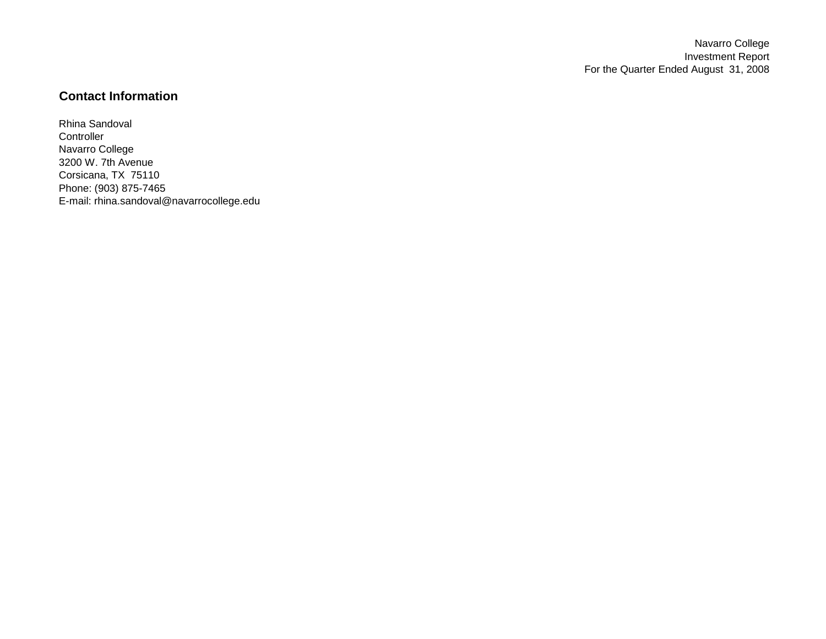Navarro College Investment Report For the Quarter Ended August 31, 2008

# **Contact Information**

Rhina Sandoval **Controller** Navarro College 3200 W. 7th Avenue Corsicana, TX 75110 Phone: (903) 875-7465 E-mail: rhina.sandoval@navarrocollege.edu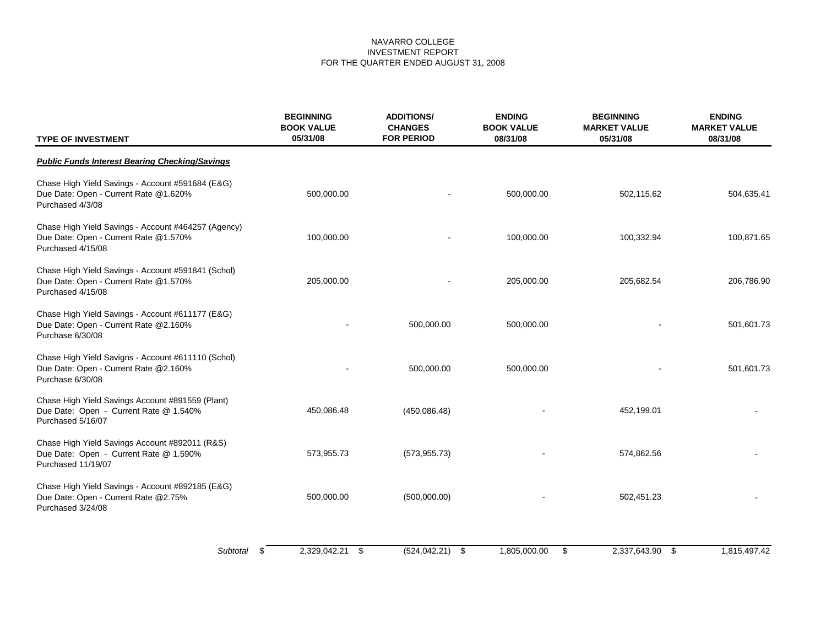# NAVARRO COLLEGE INVESTMENT REPORT FOR THE QUARTER ENDED AUGUST 31, 2008

| <b>TYPE OF INVESTMENT</b>                                                                                         | <b>BEGINNING</b><br><b>BOOK VALUE</b><br>05/31/08 | <b>ENDING</b><br><b>ADDITIONS/</b><br><b>CHANGES</b><br><b>BOOK VALUE</b><br><b>FOR PERIOD</b><br>08/31/08 |              | <b>BEGINNING</b><br><b>MARKET VALUE</b><br>05/31/08 | <b>ENDING</b><br><b>MARKET VALUE</b><br>08/31/08 |  |
|-------------------------------------------------------------------------------------------------------------------|---------------------------------------------------|------------------------------------------------------------------------------------------------------------|--------------|-----------------------------------------------------|--------------------------------------------------|--|
| <b>Public Funds Interest Bearing Checking/Savings</b>                                                             |                                                   |                                                                                                            |              |                                                     |                                                  |  |
| Chase High Yield Savings - Account #591684 (E&G)<br>Due Date: Open - Current Rate @1.620%<br>Purchased 4/3/08     | 500,000.00                                        |                                                                                                            | 500,000.00   | 502,115.62                                          | 504,635.41                                       |  |
| Chase High Yield Savings - Account #464257 (Agency)<br>Due Date: Open - Current Rate @1.570%<br>Purchased 4/15/08 | 100,000.00                                        |                                                                                                            | 100,000.00   | 100,332.94                                          | 100,871.65                                       |  |
| Chase High Yield Savings - Account #591841 (Schol)<br>Due Date: Open - Current Rate @1.570%<br>Purchased 4/15/08  | 205,000.00                                        |                                                                                                            | 205,000.00   | 205,682.54                                          | 206,786.90                                       |  |
| Chase High Yield Savings - Account #611177 (E&G)<br>Due Date: Open - Current Rate @2.160%<br>Purchase 6/30/08     |                                                   | 500,000.00                                                                                                 | 500,000.00   |                                                     | 501,601.73                                       |  |
| Chase High Yield Savigns - Account #611110 (Schol)<br>Due Date: Open - Current Rate @2.160%<br>Purchase 6/30/08   |                                                   | 500,000.00                                                                                                 | 500,000.00   |                                                     | 501,601.73                                       |  |
| Chase High Yield Savings Account #891559 (Plant)<br>Due Date: Open - Current Rate @ 1.540%<br>Purchased 5/16/07   | 450,086.48                                        | (450,086.48)                                                                                               |              | 452,199.01                                          |                                                  |  |
| Chase High Yield Savings Account #892011 (R&S)<br>Due Date: Open - Current Rate @ 1.590%<br>Purchased 11/19/07    | 573,955.73                                        | (573, 955.73)                                                                                              |              | 574,862.56                                          |                                                  |  |
| Chase High Yield Savings - Account #892185 (E&G)<br>Due Date: Open - Current Rate @2.75%<br>Purchased 3/24/08     | 500,000.00                                        | (500,000.00)                                                                                               |              | 502,451.23                                          |                                                  |  |
| Subtotal                                                                                                          | 2,329,042.21 \$<br>- \$                           | $(524, 042.21)$ \$                                                                                         | 1,805,000.00 | \$<br>2,337,643.90 \$                               | 1,815,497.42                                     |  |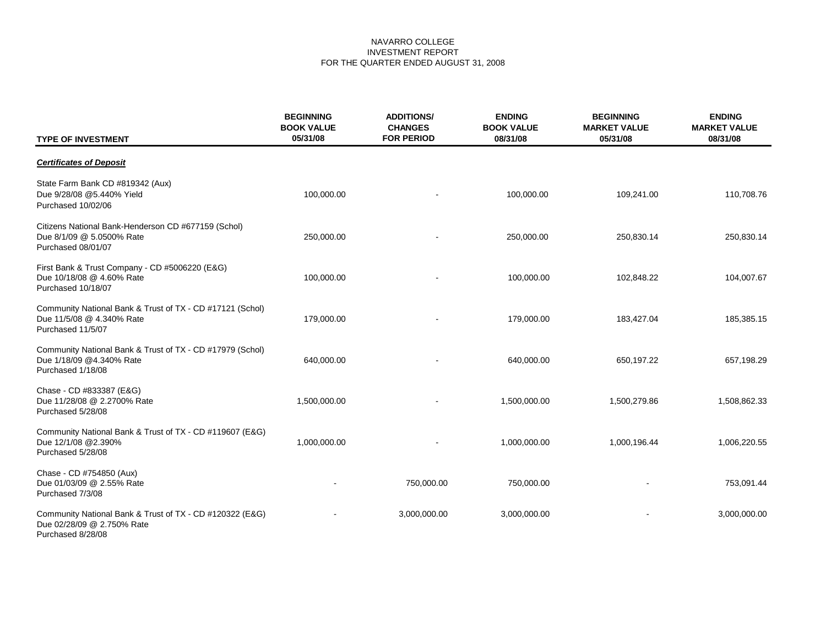# NAVARRO COLLEGE INVESTMENT REPORT FOR THE QUARTER ENDED AUGUST 31, 2008

| <b>TYPE OF INVESTMENT</b>                                                                                   | <b>BEGINNING</b><br><b>BOOK VALUE</b><br>05/31/08 | <b>ADDITIONS/</b><br><b>CHANGES</b><br><b>FOR PERIOD</b> | <b>ENDING</b><br><b>BOOK VALUE</b><br>08/31/08 | <b>BEGINNING</b><br><b>MARKET VALUE</b><br>05/31/08 | <b>ENDING</b><br><b>MARKET VALUE</b><br>08/31/08 |  |
|-------------------------------------------------------------------------------------------------------------|---------------------------------------------------|----------------------------------------------------------|------------------------------------------------|-----------------------------------------------------|--------------------------------------------------|--|
| <b>Certificates of Deposit</b>                                                                              |                                                   |                                                          |                                                |                                                     |                                                  |  |
| State Farm Bank CD #819342 (Aux)<br>Due 9/28/08 @5.440% Yield<br>Purchased 10/02/06                         | 100,000.00                                        |                                                          | 100,000.00                                     | 109,241.00                                          | 110,708.76                                       |  |
| Citizens National Bank-Henderson CD #677159 (Schol)<br>Due 8/1/09 @ 5.0500% Rate<br>Purchased 08/01/07      | 250,000.00                                        |                                                          | 250,000.00                                     | 250,830.14                                          | 250,830.14                                       |  |
| First Bank & Trust Company - CD #5006220 (E&G)<br>Due 10/18/08 @ 4.60% Rate<br>Purchased 10/18/07           | 100,000.00                                        |                                                          | 100,000.00                                     | 102,848.22                                          | 104,007.67                                       |  |
| Community National Bank & Trust of TX - CD #17121 (Schol)<br>Due 11/5/08 @ 4.340% Rate<br>Purchased 11/5/07 | 179,000.00                                        |                                                          | 179,000.00                                     | 183,427.04                                          | 185,385.15                                       |  |
| Community National Bank & Trust of TX - CD #17979 (Schol)<br>Due 1/18/09 @4.340% Rate<br>Purchased 1/18/08  | 640,000.00                                        |                                                          | 640,000.00                                     | 650,197.22                                          | 657,198.29                                       |  |
| Chase - CD #833387 (E&G)<br>Due 11/28/08 @ 2.2700% Rate<br>Purchased 5/28/08                                | 1,500,000.00                                      |                                                          | 1,500,000.00                                   | 1,500,279.86                                        | 1,508,862.33                                     |  |
| Community National Bank & Trust of TX - CD #119607 (E&G)<br>Due 12/1/08 @2.390%<br>Purchased 5/28/08        | 1,000,000.00                                      |                                                          | 1,000,000.00                                   | 1,000,196.44                                        | 1,006,220.55                                     |  |
| Chase - CD #754850 (Aux)<br>Due 01/03/09 @ 2.55% Rate<br>Purchased 7/3/08                                   |                                                   | 750,000.00                                               | 750,000.00                                     |                                                     | 753,091.44                                       |  |
| Community National Bank & Trust of TX - CD #120322 (E&G)<br>Due 02/28/09 @ 2.750% Rate<br>Purchased 8/28/08 |                                                   | 3,000,000.00                                             | 3,000,000.00                                   |                                                     | 3,000,000.00                                     |  |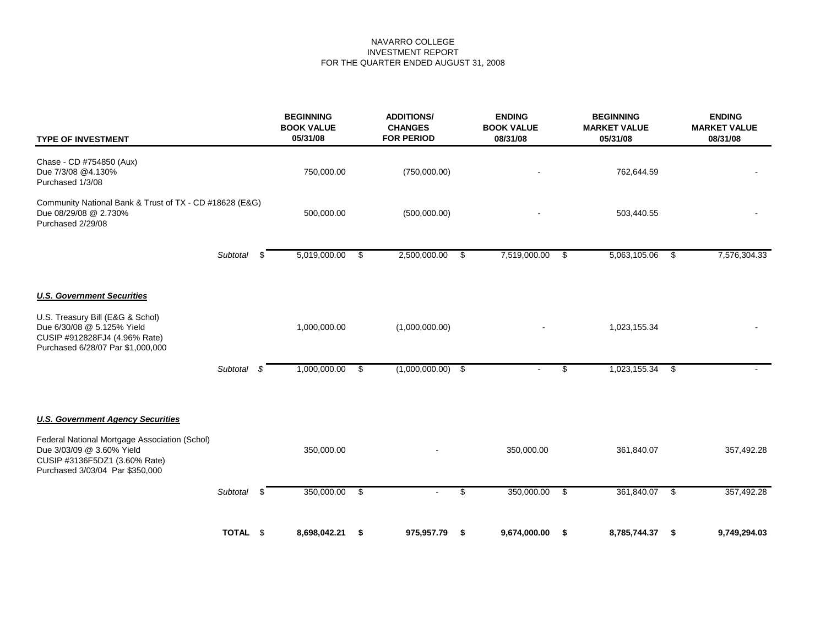# NAVARRO COLLEGE INVESTMENT REPORT FOR THE QUARTER ENDED AUGUST 31, 2008

| <b>TYPE OF INVESTMENT</b>                                                                                                                      |          |     | <b>BEGINNING</b><br><b>BOOK VALUE</b><br>05/31/08 |    | <b>ADDITIONS/</b><br><b>CHANGES</b><br><b>FOR PERIOD</b> |     | <b>ENDING</b><br><b>BOOK VALUE</b><br>08/31/08 |     | <b>BEGINNING</b><br><b>MARKET VALUE</b><br>05/31/08 |      | <b>ENDING</b><br><b>MARKET VALUE</b><br>08/31/08 |  |
|------------------------------------------------------------------------------------------------------------------------------------------------|----------|-----|---------------------------------------------------|----|----------------------------------------------------------|-----|------------------------------------------------|-----|-----------------------------------------------------|------|--------------------------------------------------|--|
| Chase - CD #754850 (Aux)<br>Due 7/3/08 @4.130%<br>Purchased 1/3/08                                                                             |          |     | 750,000.00                                        |    | (750,000.00)                                             |     |                                                |     | 762,644.59                                          |      |                                                  |  |
| Community National Bank & Trust of TX - CD #18628 (E&G)<br>Due 08/29/08 @ 2.730%<br>Purchased 2/29/08                                          |          |     | 500,000.00                                        |    | (500,000.00)                                             |     |                                                |     | 503,440.55                                          |      |                                                  |  |
|                                                                                                                                                | Subtotal | \$. | 5,019,000.00                                      | \$ | 2,500,000.00                                             | -\$ | 7,519,000.00 \$                                |     | 5,063,105.06                                        | - \$ | 7,576,304.33                                     |  |
| <b>U.S. Government Securities</b>                                                                                                              |          |     |                                                   |    |                                                          |     |                                                |     |                                                     |      |                                                  |  |
| U.S. Treasury Bill (E&G & Schol)<br>Due 6/30/08 @ 5.125% Yield<br>CUSIP #912828FJ4 (4.96% Rate)<br>Purchased 6/28/07 Par \$1,000,000           |          |     | 1,000,000.00                                      |    | (1,000,000.00)                                           |     |                                                |     | 1,023,155.34                                        |      |                                                  |  |
|                                                                                                                                                | Subtotal | -8  | 1,000,000.00                                      | \$ | $(1,000,000.00)$ \$                                      |     |                                                | \$  | $1,023,155.34$ \$                                   |      |                                                  |  |
| <b>U.S. Government Agency Securities</b>                                                                                                       |          |     |                                                   |    |                                                          |     |                                                |     |                                                     |      |                                                  |  |
| Federal National Mortgage Association (Schol)<br>Due 3/03/09 @ 3.60% Yield<br>CUSIP #3136F5DZ1 (3.60% Rate)<br>Purchased 3/03/04 Par \$350,000 |          |     | 350,000.00                                        |    |                                                          |     | 350,000.00                                     |     | 361,840.07                                          |      | 357,492.28                                       |  |
|                                                                                                                                                | Subtotal | \$  | 350,000.00                                        | \$ | $\sim$                                                   | \$  | 350,000.00                                     | \$  | 361,840.07                                          | -\$  | 357,492.28                                       |  |
|                                                                                                                                                | TOTAL \$ |     | 8,698,042.21                                      | \$ | 975,957.79                                               | \$  | 9,674,000.00                                   | -\$ | 8,785,744.37                                        | \$   | 9,749,294.03                                     |  |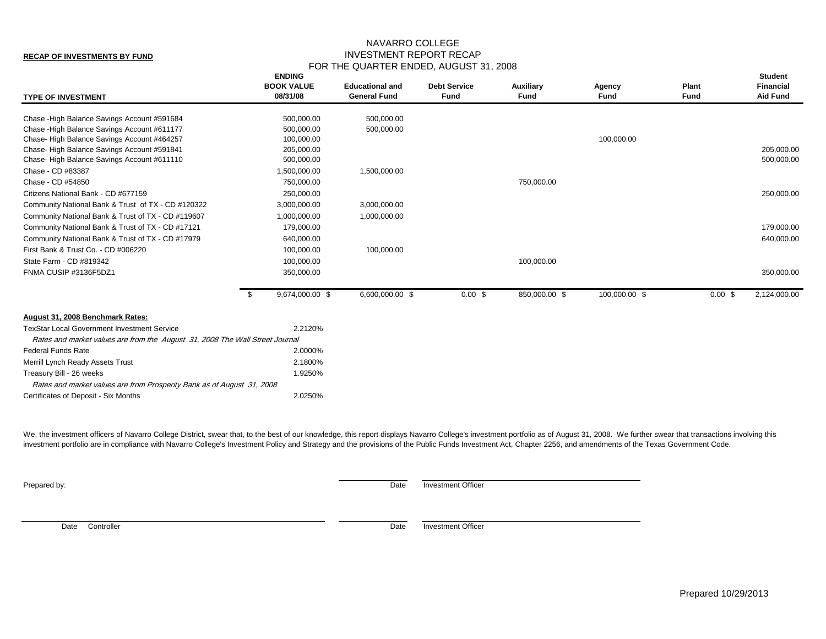#### **RECAP OF INVESTMENTS BY FUND**

# NAVARRO COLLEGE INVESTMENT REPORT RECAP FOR THE QUARTER ENDED, AUGUST 31, 2008

| <b>TYPE OF INVESTMENT</b>                                                                                                          |      | <b>ENDING</b><br><b>BOOK VALUE</b><br>08/31/08 | <b>Educational and</b><br><b>General Fund</b> | <b>Debt Service</b><br><b>Fund</b> | <b>Auxiliary</b><br><b>Fund</b> | Agency<br>Fund | Plant<br><b>Fund</b> | <b>Student</b><br><b>Financial</b><br><b>Aid Fund</b> |
|------------------------------------------------------------------------------------------------------------------------------------|------|------------------------------------------------|-----------------------------------------------|------------------------------------|---------------------------------|----------------|----------------------|-------------------------------------------------------|
| Chase - High Balance Savings Account #591684                                                                                       |      | 500,000.00                                     | 500,000.00                                    |                                    |                                 |                |                      |                                                       |
| Chase - High Balance Savings Account #611177                                                                                       |      | 500,000.00                                     | 500,000.00                                    |                                    |                                 |                |                      |                                                       |
| Chase-High Balance Savings Account #464257                                                                                         |      | 100,000.00                                     |                                               |                                    |                                 | 100,000.00     |                      |                                                       |
| Chase-High Balance Savings Account #591841                                                                                         |      | 205,000.00                                     |                                               |                                    |                                 |                |                      | 205,000.00                                            |
| Chase-High Balance Savings Account #611110                                                                                         |      | 500,000.00                                     |                                               |                                    |                                 |                |                      | 500,000.00                                            |
| Chase - CD #83387                                                                                                                  |      | 1,500,000.00                                   | 1,500,000.00                                  |                                    |                                 |                |                      |                                                       |
| Chase - CD #54850                                                                                                                  |      | 750,000.00                                     |                                               |                                    | 750,000.00                      |                |                      |                                                       |
| Citizens National Bank - CD #677159                                                                                                |      | 250,000.00                                     |                                               |                                    |                                 |                |                      | 250,000.00                                            |
| Community National Bank & Trust of TX - CD #120322                                                                                 |      | 3,000,000.00                                   | 3,000,000.00                                  |                                    |                                 |                |                      |                                                       |
| Community National Bank & Trust of TX - CD #119607                                                                                 |      | 1,000,000.00                                   | 1,000,000.00                                  |                                    |                                 |                |                      |                                                       |
| Community National Bank & Trust of TX - CD #17121                                                                                  |      | 179,000.00                                     |                                               |                                    |                                 |                |                      | 179,000.00                                            |
| Community National Bank & Trust of TX - CD #17979                                                                                  |      | 640,000.00                                     |                                               |                                    |                                 |                |                      | 640,000.00                                            |
| First Bank & Trust Co. - CD #006220                                                                                                |      | 100,000.00                                     | 100,000.00                                    |                                    |                                 |                |                      |                                                       |
| State Farm - CD #819342                                                                                                            |      | 100,000.00                                     |                                               |                                    | 100,000.00                      |                |                      |                                                       |
| FNMA CUSIP #3136F5DZ1                                                                                                              |      | 350,000.00                                     |                                               |                                    |                                 |                |                      | 350,000.00                                            |
|                                                                                                                                    | - \$ | 9,674,000.00 \$                                | 6,600,000.00 \$                               | $0.00$ \$                          | 850,000.00 \$                   | 100,000.00 \$  | 0.00~\$              | 2,124,000.00                                          |
| August 31, 2008 Benchmark Rates:                                                                                                   |      |                                                |                                               |                                    |                                 |                |                      |                                                       |
| <b>TexStar Local Government Investment Service</b><br>Rates and market values are from the August 31, 2008 The Wall Street Journal |      | 2.2120%                                        |                                               |                                    |                                 |                |                      |                                                       |
| <b>Federal Funds Rate</b>                                                                                                          |      | 2.0000%                                        |                                               |                                    |                                 |                |                      |                                                       |
| Merrill Lynch Ready Assets Trust                                                                                                   |      | 2.1800%                                        |                                               |                                    |                                 |                |                      |                                                       |
| Treasury Bill - 26 weeks                                                                                                           |      | 1.9250%                                        |                                               |                                    |                                 |                |                      |                                                       |
|                                                                                                                                    |      |                                                |                                               |                                    |                                 |                |                      |                                                       |
| Rates and market values are from Prosperity Bank as of August 31, 2008                                                             |      |                                                |                                               |                                    |                                 |                |                      |                                                       |
| Certificates of Deposit - Six Months                                                                                               |      | 2.0250%                                        |                                               |                                    |                                 |                |                      |                                                       |

We, the investment officers of Navarro College District, swear that, to the best of our knowledge, this report displays Navarro College's investment portfolio as of August 31, 2008. We further swear that transactions invol investment portfolio are in compliance with Navarro College's Investment Policy and Strategy and the provisions of the Public Funds Investment Act, Chapter 2256, and amendments of the Texas Government Code.

**Prepared by:** Date Investment Officer

Date Controller **Date** Investment Officer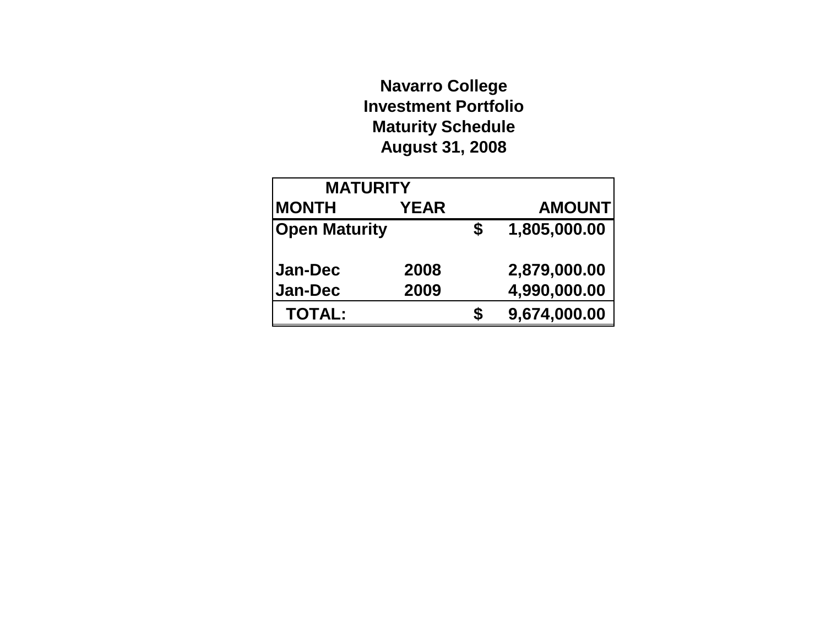# **Navarro College Investment Portfolio Maturity Schedule August 31, 2008**

| <b>MATURITY</b>      |             |    |               |
|----------------------|-------------|----|---------------|
| <b>MONTH</b>         | <b>YEAR</b> |    | <b>AMOUNT</b> |
| <b>Open Maturity</b> |             | \$ | 1,805,000.00  |
| <b>Jan-Dec</b>       | 2008        |    | 2,879,000.00  |
| Jan-Dec              | 2009        |    | 4,990,000.00  |
| <b>TOTAL:</b>        |             | S  | 9,674,000.00  |